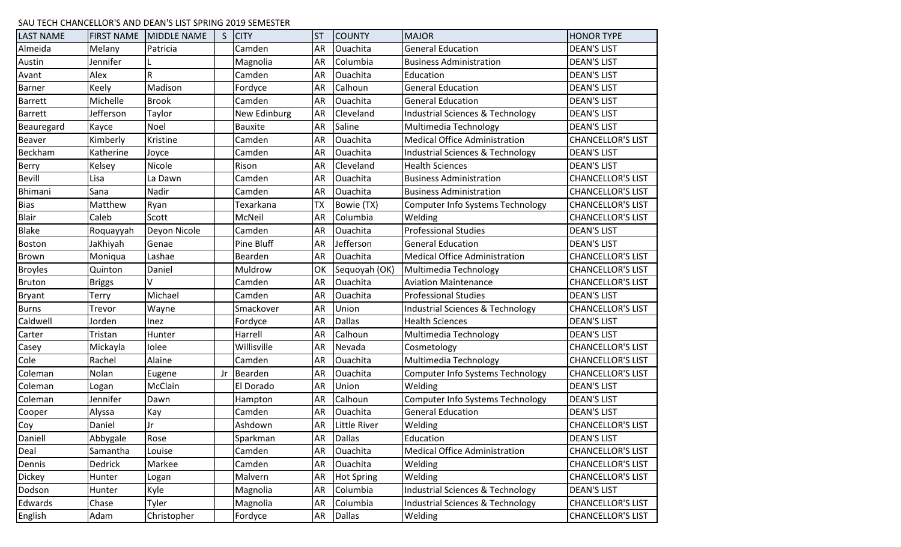## SAU TECH CHANCELLOR'S AND DEAN'S LIST SPRING 2019 SEMESTER

| <b>LAST NAME</b> | <b>FIRST NAME</b> | <b>MIDDLE NAME</b> | $\mathsf{S}$ | <b>CITY</b>         | <b>ST</b> | <b>COUNTY</b>       | <b>MAJOR</b>                                | <b>HONOR TYPE</b>        |
|------------------|-------------------|--------------------|--------------|---------------------|-----------|---------------------|---------------------------------------------|--------------------------|
| Almeida          | Melany            | Patricia           |              | Camden              | AR        | Ouachita            | <b>General Education</b>                    | <b>DEAN'S LIST</b>       |
| Austin           | Jennifer          |                    |              | Magnolia            | AR        | Columbia            | <b>Business Administration</b>              | <b>DEAN'S LIST</b>       |
| Avant            | Alex              | $\mathsf R$        |              | Camden              | AR        | Ouachita            | Education                                   | <b>DEAN'S LIST</b>       |
| <b>Barner</b>    | Keely             | Madison            |              | Fordyce             | <b>AR</b> | Calhoun             | <b>General Education</b>                    | <b>DEAN'S LIST</b>       |
| <b>Barrett</b>   | Michelle          | <b>Brook</b>       |              | Camden              | AR        | Ouachita            | <b>General Education</b>                    | <b>DEAN'S LIST</b>       |
| <b>Barrett</b>   | Jefferson         | Taylor             |              | <b>New Edinburg</b> | <b>AR</b> | Cleveland           | Industrial Sciences & Technology            | <b>DEAN'S LIST</b>       |
| Beauregard       | Kayce             | Noel               |              | <b>Bauxite</b>      | <b>AR</b> | Saline              | Multimedia Technology                       | <b>DEAN'S LIST</b>       |
| <b>Beaver</b>    | Kimberly          | Kristine           |              | Camden              | <b>AR</b> | Ouachita            | <b>Medical Office Administration</b>        | <b>CHANCELLOR'S LIST</b> |
| Beckham          | Katherine         | Joyce              |              | Camden              | AR        | Ouachita            | <b>Industrial Sciences &amp; Technology</b> | <b>DEAN'S LIST</b>       |
| Berry            | Kelsey            | Nicole             |              | Rison               | AR        | Cleveland           | <b>Health Sciences</b>                      | <b>DEAN'S LIST</b>       |
| Bevill           | Lisa              | La Dawn            |              | Camden              | AR        | Ouachita            | <b>Business Administration</b>              | <b>CHANCELLOR'S LIST</b> |
| Bhimani          | Sana              | Nadir              |              | Camden              | AR        | Ouachita            | <b>Business Administration</b>              | <b>CHANCELLOR'S LIST</b> |
| <b>Bias</b>      | Matthew           | Ryan               |              | Texarkana           | <b>TX</b> | Bowie (TX)          | Computer Info Systems Technology            | <b>CHANCELLOR'S LIST</b> |
| <b>Blair</b>     | Caleb             | Scott              |              | McNeil              | AR        | Columbia            | Welding                                     | <b>CHANCELLOR'S LIST</b> |
| <b>Blake</b>     | Roquayyah         | Deyon Nicole       |              | Camden              | <b>AR</b> | Ouachita            | <b>Professional Studies</b>                 | <b>DEAN'S LIST</b>       |
| Boston           | JaKhiyah          | Genae              |              | Pine Bluff          | <b>AR</b> | Jefferson           | <b>General Education</b>                    | <b>DEAN'S LIST</b>       |
| Brown            | Moniqua           | Lashae             |              | Bearden             | AR        | Ouachita            | Medical Office Administration               | <b>CHANCELLOR'S LIST</b> |
| <b>Broyles</b>   | Quinton           | Daniel             |              | Muldrow             | OK        | Sequoyah (OK)       | Multimedia Technology                       | <b>CHANCELLOR'S LIST</b> |
| <b>Bruton</b>    | <b>Briggs</b>     | V                  |              | Camden              | AR        | Ouachita            | <b>Aviation Maintenance</b>                 | <b>CHANCELLOR'S LIST</b> |
| <b>Bryant</b>    | Terry             | Michael            |              | Camden              | AR        | Ouachita            | <b>Professional Studies</b>                 | <b>DEAN'S LIST</b>       |
| <b>Burns</b>     | Trevor            | Wayne              |              | Smackover           | <b>AR</b> | Union               | <b>Industrial Sciences &amp; Technology</b> | <b>CHANCELLOR'S LIST</b> |
| Caldwell         | Jorden            | Inez               |              | Fordyce             | AR        | <b>Dallas</b>       | <b>Health Sciences</b>                      | <b>DEAN'S LIST</b>       |
| Carter           | Tristan           | Hunter             |              | Harrell             | <b>AR</b> | Calhoun             | Multimedia Technology                       | <b>DEAN'S LIST</b>       |
| Casey            | Mickayla          | Iolee              |              | Willisville         | <b>AR</b> | Nevada              | Cosmetology                                 | <b>CHANCELLOR'S LIST</b> |
| Cole             | Rachel            | Alaine             |              | Camden              | AR        | Ouachita            | Multimedia Technology                       | <b>CHANCELLOR'S LIST</b> |
| Coleman          | Nolan             | Eugene             | Jr           | Bearden             | AR        | Ouachita            | Computer Info Systems Technology            | <b>CHANCELLOR'S LIST</b> |
| Coleman          | Logan             | McClain            |              | El Dorado           | <b>AR</b> | Union               | Welding                                     | <b>DEAN'S LIST</b>       |
| Coleman          | Jennifer          | Dawn               |              | Hampton             | <b>AR</b> | Calhoun             | <b>Computer Info Systems Technology</b>     | <b>DEAN'S LIST</b>       |
| Cooper           | Alyssa            | Kay                |              | Camden              | <b>AR</b> | Ouachita            | <b>General Education</b>                    | <b>DEAN'S LIST</b>       |
| Coy              | Daniel            | Jr                 |              | Ashdown             | <b>AR</b> | <b>Little River</b> | Welding                                     | <b>CHANCELLOR'S LIST</b> |
| Daniell          | Abbygale          | Rose               |              | Sparkman            | <b>AR</b> | <b>Dallas</b>       | Education                                   | <b>DEAN'S LIST</b>       |
| Deal             | Samantha          | Louise             |              | Camden              | AR        | Ouachita            | <b>Medical Office Administration</b>        | <b>CHANCELLOR'S LIST</b> |
| Dennis           | Dedrick           | Markee             |              | Camden              | AR        | Ouachita            | Welding                                     | <b>CHANCELLOR'S LIST</b> |
| <b>Dickey</b>    | Hunter            | Logan              |              | Malvern             | <b>AR</b> | <b>Hot Spring</b>   | Welding                                     | <b>CHANCELLOR'S LIST</b> |
| Dodson           | Hunter            | Kyle               |              | Magnolia            | AR        | Columbia            | Industrial Sciences & Technology            | <b>DEAN'S LIST</b>       |
| Edwards          | Chase             | Tyler              |              | Magnolia            | <b>AR</b> | Columbia            | <b>Industrial Sciences &amp; Technology</b> | <b>CHANCELLOR'S LIST</b> |
| English          | Adam              | Christopher        |              | Fordyce             | AR        | <b>Dallas</b>       | Welding                                     | <b>CHANCELLOR'S LIST</b> |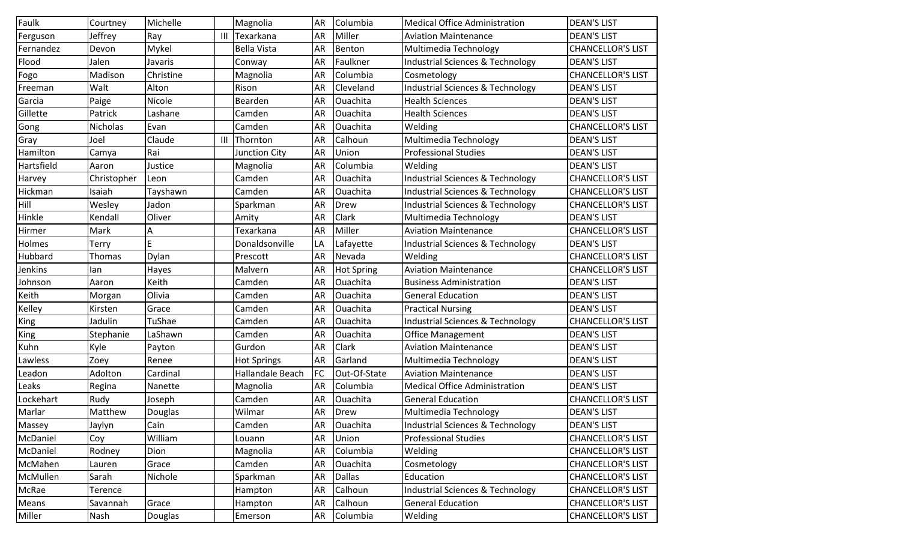| Faulk      | Courtney    | Michelle  |                | Magnolia           | AR        | Columbia          | <b>Medical Office Administration</b>        | <b>DEAN'S LIST</b>       |
|------------|-------------|-----------|----------------|--------------------|-----------|-------------------|---------------------------------------------|--------------------------|
| Ferguson   | Jeffrey     | Ray       | $\mathbf{III}$ | Texarkana          | <b>AR</b> | Miller            | <b>Aviation Maintenance</b>                 | <b>DEAN'S LIST</b>       |
| Fernandez  | Devon       | Mykel     |                | <b>Bella Vista</b> | AR        | Benton            | Multimedia Technology                       | <b>CHANCELLOR'S LIST</b> |
| Flood      | Jalen       | Javaris   |                | Conway             | AR        | Faulkner          | Industrial Sciences & Technology            | <b>DEAN'S LIST</b>       |
| Fogo       | Madison     | Christine |                | Magnolia           | AR        | Columbia          | Cosmetology                                 | <b>CHANCELLOR'S LIST</b> |
| Freeman    | Walt        | Alton     |                | Rison              | AR        | Cleveland         | <b>Industrial Sciences &amp; Technology</b> | <b>DEAN'S LIST</b>       |
| Garcia     | Paige       | Nicole    |                | Bearden            | AR        | Ouachita          | <b>Health Sciences</b>                      | <b>DEAN'S LIST</b>       |
| Gillette   | Patrick     | Lashane   |                | Camden             | AR        | Ouachita          | <b>Health Sciences</b>                      | <b>DEAN'S LIST</b>       |
| Gong       | Nicholas    | Evan      |                | Camden             | AR        | Ouachita          | Welding                                     | <b>CHANCELLOR'S LIST</b> |
| Gray       | Joel        | Claude    | $\mathbf{III}$ | Thornton           | AR        | Calhoun           | Multimedia Technology                       | <b>DEAN'S LIST</b>       |
| Hamilton   | Camya       | Rai       |                | Junction City      | AR        | Union             | <b>Professional Studies</b>                 | <b>DEAN'S LIST</b>       |
| Hartsfield | Aaron       | Justice   |                | Magnolia           | AR        | Columbia          | Welding                                     | <b>DEAN'S LIST</b>       |
| Harvey     | Christopher | Leon      |                | Camden             | <b>AR</b> | Ouachita          | <b>Industrial Sciences &amp; Technology</b> | <b>CHANCELLOR'S LIST</b> |
| Hickman    | Isaiah      | Tayshawn  |                | Camden             | AR        | Ouachita          | Industrial Sciences & Technology            | <b>CHANCELLOR'S LIST</b> |
| Hill       | Wesley      | Jadon     |                | Sparkman           | AR        | Drew              | Industrial Sciences & Technology            | <b>CHANCELLOR'S LIST</b> |
| Hinkle     | Kendall     | Oliver    |                | Amity              | AR        | Clark             | Multimedia Technology                       | <b>DEAN'S LIST</b>       |
| Hirmer     | Mark        | Α         |                | Texarkana          | AR        | Miller            | <b>Aviation Maintenance</b>                 | <b>CHANCELLOR'S LIST</b> |
| Holmes     | Terry       | E         |                | Donaldsonville     | LA        | Lafayette         | Industrial Sciences & Technology            | <b>DEAN'S LIST</b>       |
| Hubbard    | Thomas      | Dylan     |                | Prescott           | <b>AR</b> | Nevada            | Welding                                     | <b>CHANCELLOR'S LIST</b> |
| Jenkins    | lan         | Hayes     |                | Malvern            | AR        | <b>Hot Spring</b> | <b>Aviation Maintenance</b>                 | <b>CHANCELLOR'S LIST</b> |
| Johnson    | Aaron       | Keith     |                | Camden             | <b>AR</b> | Ouachita          | <b>Business Administration</b>              | <b>DEAN'S LIST</b>       |
| Keith      | Morgan      | Olivia    |                | Camden             | AR        | Ouachita          | <b>General Education</b>                    | <b>DEAN'S LIST</b>       |
| Kelley     | Kirsten     | Grace     |                | Camden             | AR        | Ouachita          | <b>Practical Nursing</b>                    | <b>DEAN'S LIST</b>       |
| King       | Jadulin     | TuShae    |                | Camden             | AR        | Ouachita          | Industrial Sciences & Technology            | <b>CHANCELLOR'S LIST</b> |
| King       | Stephanie   | LaShawn   |                | Camden             | AR        | Ouachita          | <b>Office Management</b>                    | <b>DEAN'S LIST</b>       |
| Kuhn       | Kyle        | Payton    |                | Gurdon             | AR        | Clark             | <b>Aviation Maintenance</b>                 | <b>DEAN'S LIST</b>       |
| Lawless    | Zoey        | Renee     |                | <b>Hot Springs</b> | <b>AR</b> | Garland           | Multimedia Technology                       | <b>DEAN'S LIST</b>       |
| Leadon     | Adolton     | Cardinal  |                | Hallandale Beach   | <b>FC</b> | Out-Of-State      | <b>Aviation Maintenance</b>                 | <b>DEAN'S LIST</b>       |
| Leaks      | Regina      | Nanette   |                | Magnolia           | AR        | Columbia          | <b>Medical Office Administration</b>        | <b>DEAN'S LIST</b>       |
| Lockehart  | Rudy        | Joseph    |                | Camden             | AR        | Ouachita          | <b>General Education</b>                    | <b>CHANCELLOR'S LIST</b> |
| Marlar     | Matthew     | Douglas   |                | Wilmar             | <b>AR</b> | Drew              | Multimedia Technology                       | <b>DEAN'S LIST</b>       |
| Massey     | Jaylyn      | Cain      |                | Camden             | AR        | Ouachita          | Industrial Sciences & Technology            | <b>DEAN'S LIST</b>       |
| McDaniel   | Coy         | William   |                | Louann             | AR        | Union             | <b>Professional Studies</b>                 | <b>CHANCELLOR'S LIST</b> |
| McDaniel   | Rodney      | Dion      |                | Magnolia           | <b>AR</b> | Columbia          | Welding                                     | <b>CHANCELLOR'S LIST</b> |
| McMahen    | Lauren      | Grace     |                | Camden             | <b>AR</b> | Ouachita          | Cosmetology                                 | <b>CHANCELLOR'S LIST</b> |
| McMullen   | Sarah       | Nichole   |                | Sparkman           | AR        | <b>Dallas</b>     | Education                                   | <b>CHANCELLOR'S LIST</b> |
| McRae      | Terence     |           |                | Hampton            | <b>AR</b> | Calhoun           | <b>Industrial Sciences &amp; Technology</b> | <b>CHANCELLOR'S LIST</b> |
| Means      | Savannah    | Grace     |                | Hampton            | AR        | Calhoun           | <b>General Education</b>                    | <b>CHANCELLOR'S LIST</b> |
| Miller     | Nash        | Douglas   |                | Emerson            | AR        | Columbia          | Welding                                     | <b>CHANCELLOR'S LIST</b> |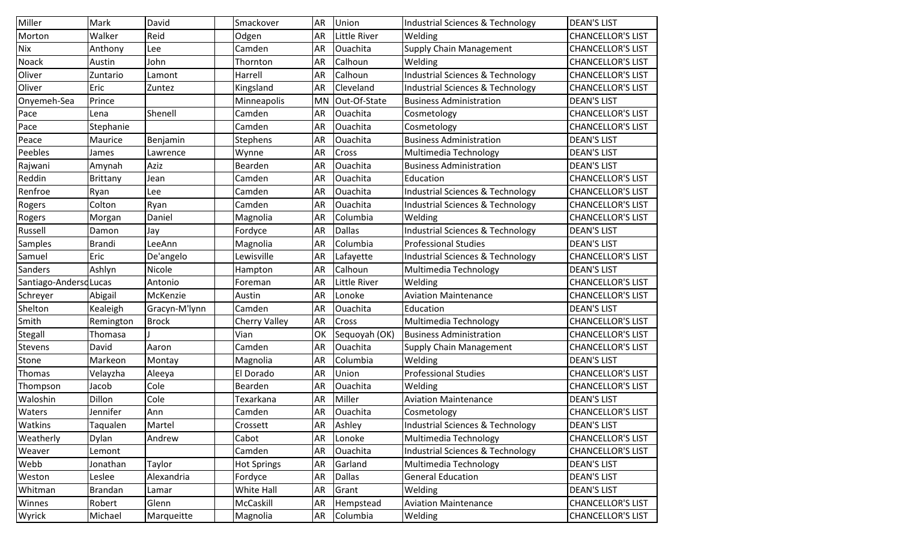| Miller                 | Mark          | David         | Smackover            | AR        | Union         | Industrial Sciences & Technology            | <b>DEAN'S LIST</b>       |
|------------------------|---------------|---------------|----------------------|-----------|---------------|---------------------------------------------|--------------------------|
| Morton                 | Walker        | Reid          | Odgen                | AR        | Little River  | Welding                                     | <b>CHANCELLOR'S LIST</b> |
| <b>Nix</b>             | Anthony       | Lee           | Camden               | AR        | Ouachita      | <b>Supply Chain Management</b>              | <b>CHANCELLOR'S LIST</b> |
| Noack                  | Austin        | John          | Thornton             | AR        | Calhoun       | Welding                                     | <b>CHANCELLOR'S LIST</b> |
| Oliver                 | Zuntario      | Lamont        | Harrell              | AR        | Calhoun       | <b>Industrial Sciences &amp; Technology</b> | <b>CHANCELLOR'S LIST</b> |
| Oliver                 | Eric          | Zuntez        | Kingsland            | AR        | Cleveland     | Industrial Sciences & Technology            | <b>CHANCELLOR'S LIST</b> |
| Onyemeh-Sea            | Prince        |               | Minneapolis          | <b>MN</b> | Out-Of-State  | <b>Business Administration</b>              | <b>DEAN'S LIST</b>       |
| Pace                   | Lena          | Shenell       | Camden               | <b>AR</b> | Ouachita      | Cosmetology                                 | <b>CHANCELLOR'S LIST</b> |
| Pace                   | Stephanie     |               | Camden               | <b>AR</b> | Ouachita      | Cosmetology                                 | <b>CHANCELLOR'S LIST</b> |
| Peace                  | Maurice       | Benjamin      | Stephens             | AR        | Ouachita      | <b>Business Administration</b>              | <b>DEAN'S LIST</b>       |
| Peebles                | James         | Lawrence      | Wynne                | <b>AR</b> | Cross         | Multimedia Technology                       | <b>DEAN'S LIST</b>       |
| Rajwani                | Amynah        | Aziz          | Bearden              | AR        | Ouachita      | <b>Business Administration</b>              | <b>DEAN'S LIST</b>       |
| Reddin                 | Brittany      | Jean          | Camden               | AR        | Ouachita      | Education                                   | <b>CHANCELLOR'S LIST</b> |
| Renfroe                | Ryan          | Lee           | Camden               | AR        | Ouachita      | <b>Industrial Sciences &amp; Technology</b> | <b>CHANCELLOR'S LIST</b> |
| Rogers                 | Colton        | Ryan          | Camden               | AR        | Ouachita      | <b>Industrial Sciences &amp; Technology</b> | <b>CHANCELLOR'S LIST</b> |
| Rogers                 | Morgan        | Daniel        | Magnolia             | AR        | Columbia      | Welding                                     | <b>CHANCELLOR'S LIST</b> |
| Russell                | Damon         | Jay           | Fordyce              | <b>AR</b> | <b>Dallas</b> | <b>Industrial Sciences &amp; Technology</b> | <b>DEAN'S LIST</b>       |
| Samples                | <b>Brandi</b> | LeeAnn        | Magnolia             | AR        | Columbia      | <b>Professional Studies</b>                 | <b>DEAN'S LIST</b>       |
| Samuel                 | Eric          | De'angelo     | Lewisville           | <b>AR</b> | Lafayette     | <b>Industrial Sciences &amp; Technology</b> | <b>CHANCELLOR'S LIST</b> |
| <b>Sanders</b>         | Ashlyn        | Nicole        | Hampton              | AR        | Calhoun       | Multimedia Technology                       | <b>DEAN'S LIST</b>       |
| Santiago-Andersd Lucas |               | Antonio       | Foreman              | AR        | Little River  | Welding                                     | <b>CHANCELLOR'S LIST</b> |
| Schreyer               | Abigail       | McKenzie      | Austin               | AR        | Lonoke        | <b>Aviation Maintenance</b>                 | <b>CHANCELLOR'S LIST</b> |
| Shelton                | Kealeigh      | Gracyn-M'lynn | Camden               | AR        | Ouachita      | Education                                   | <b>DEAN'S LIST</b>       |
| Smith                  | Remington     | <b>Brock</b>  | <b>Cherry Valley</b> | <b>AR</b> | Cross         | Multimedia Technology                       | <b>CHANCELLOR'S LIST</b> |
| Stegall                | Thomasa       |               | Vian                 | OK        | Sequoyah (OK) | <b>Business Administration</b>              | <b>CHANCELLOR'S LIST</b> |
| Stevens                | David         | Aaron         | Camden               | AR        | Ouachita      | <b>Supply Chain Management</b>              | <b>CHANCELLOR'S LIST</b> |
| Stone                  | Markeon       | Montay        | Magnolia             | <b>AR</b> | Columbia      | Welding                                     | <b>DEAN'S LIST</b>       |
| Thomas                 | Velayzha      | Aleeya        | El Dorado            | <b>AR</b> | Union         | <b>Professional Studies</b>                 | <b>CHANCELLOR'S LIST</b> |
| Thompson               | Jacob         | Cole          | Bearden              | AR        | Ouachita      | Welding                                     | <b>CHANCELLOR'S LIST</b> |
| Waloshin               | Dillon        | Cole          | Texarkana            | <b>AR</b> | Miller        | <b>Aviation Maintenance</b>                 | <b>DEAN'S LIST</b>       |
| <b>Waters</b>          | Jennifer      | Ann           | Camden               | <b>AR</b> | Ouachita      | Cosmetology                                 | <b>CHANCELLOR'S LIST</b> |
| Watkins                | Taqualen      | Martel        | Crossett             | AR        | Ashley        | Industrial Sciences & Technology            | <b>DEAN'S LIST</b>       |
| Weatherly              | Dylan         | Andrew        | Cabot                | AR        | Lonoke        | Multimedia Technology                       | <b>CHANCELLOR'S LIST</b> |
| Weaver                 | Lemont        |               | Camden               | AR        | Ouachita      | <b>Industrial Sciences &amp; Technology</b> | <b>CHANCELLOR'S LIST</b> |
| Webb                   | Jonathan      | Taylor        | <b>Hot Springs</b>   | AR        | Garland       | Multimedia Technology                       | <b>DEAN'S LIST</b>       |
| Weston                 | Leslee        | Alexandria    | Fordyce              | AR        | <b>Dallas</b> | <b>General Education</b>                    | <b>DEAN'S LIST</b>       |
| Whitman                | Brandan       | Lamar         | White Hall           | <b>AR</b> | Grant         | Welding                                     | <b>DEAN'S LIST</b>       |
| Winnes                 | Robert        | Glenn         | McCaskill            | AR        | Hempstead     | <b>Aviation Maintenance</b>                 | <b>CHANCELLOR'S LIST</b> |
| Wyrick                 | Michael       | Marqueitte    | Magnolia             | AR        | Columbia      | Welding                                     | <b>CHANCELLOR'S LIST</b> |